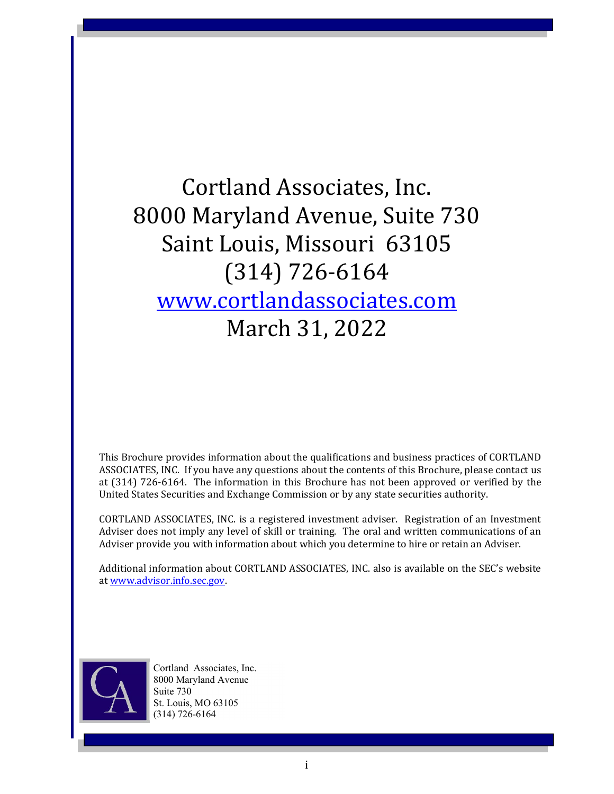Cortland Associates, Inc. 8000 Maryland Avenue, Suite 730 Saint Louis, Missouri 63105 (314) 726-6164 www.cortlandassociates.com March 31, 2022

This Brochure provides information about the qualifications and business practices of CORTLAND ASSOCIATES, INC. If you have any questions about the contents of this Brochure, please contact us at (314) 726-6164. The information in this Brochure has not been approved or verified by the United States Securities and Exchange Commission or by any state securities authority.

CORTLAND ASSOCIATES, INC. is a registered investment adviser. Registration of an Investment Adviser does not imply any level of skill or training. The oral and written communications of an Adviser provide you with information about which you determine to hire or retain an Adviser.

Additional information about CORTLAND ASSOCIATES, INC. also is available on the SEC's website at www.advisor.info.sec.gov.



Cortland Associates, Inc. 8000 Maryland Avenue Suite 730 St. Louis, MO 63105 (314) 726-6164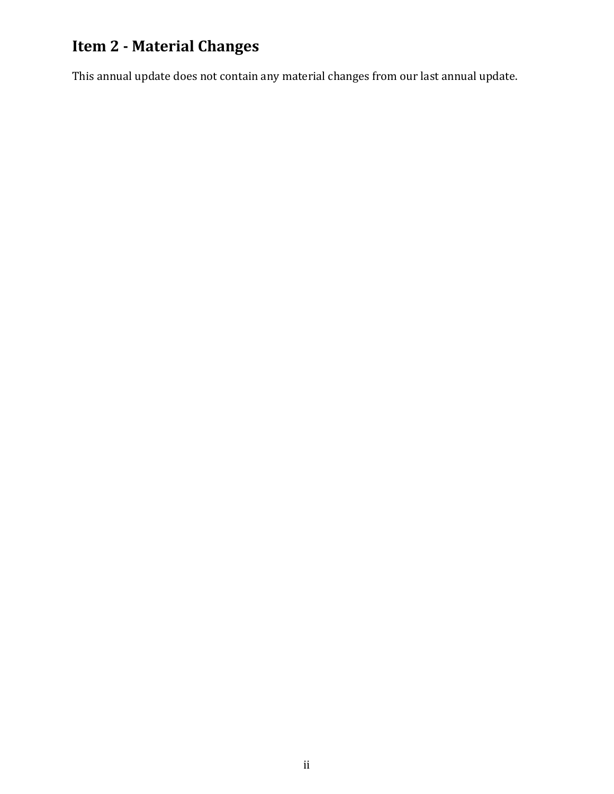# **Item 2 - Material Changes**

This annual update does not contain any material changes from our last annual update.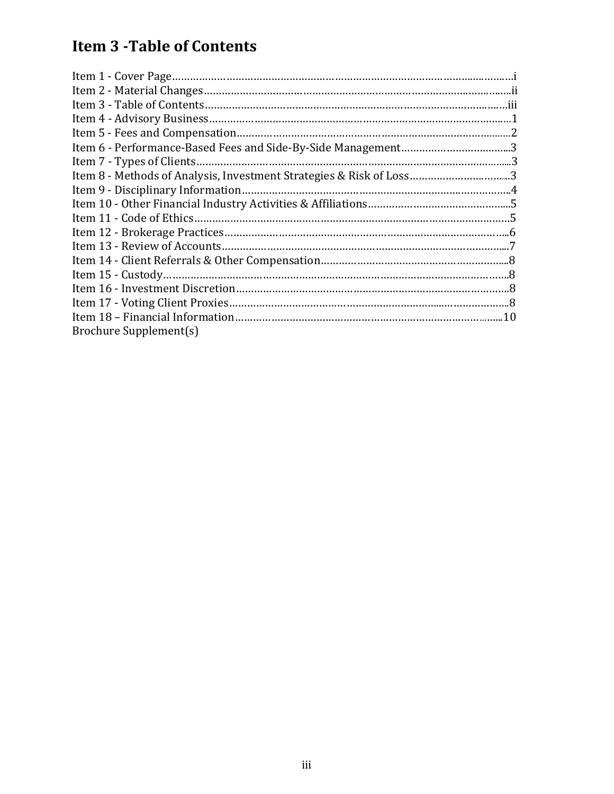# **Item 3 ‐Table of Contents**

| Item 8 - Methods of Analysis, Investment Strategies & Risk of Loss3 |  |
|---------------------------------------------------------------------|--|
|                                                                     |  |
|                                                                     |  |
|                                                                     |  |
|                                                                     |  |
|                                                                     |  |
|                                                                     |  |
|                                                                     |  |
|                                                                     |  |
|                                                                     |  |
|                                                                     |  |
| Brochure Supplement(s)                                              |  |
|                                                                     |  |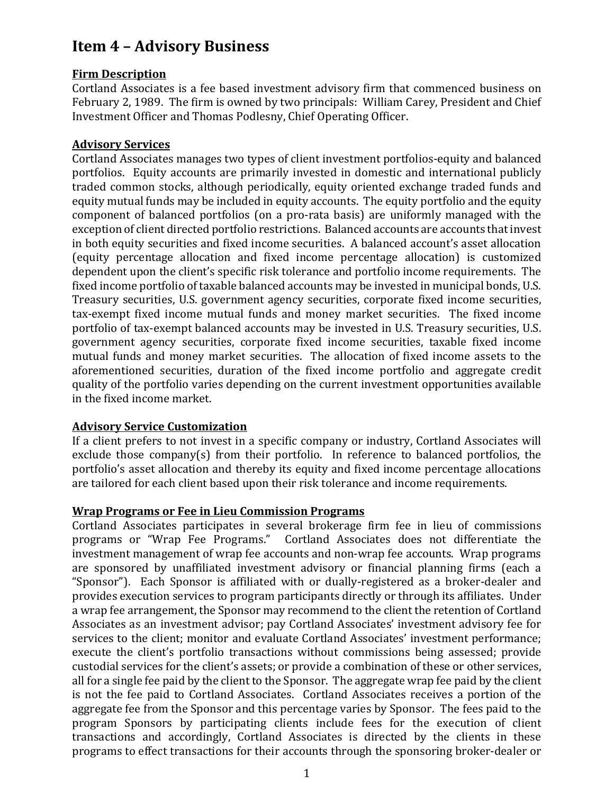# **Item 4 – Advisory Business**

#### **Firm Description**

Cortland Associates is a fee based investment advisory firm that commenced business on February 2, 1989. The firm is owned by two principals: William Carey, President and Chief Investment Officer and Thomas Podlesny, Chief Operating Officer.

### **Advisory Services**

Cortland Associates manages two types of client investment portfolios-equity and balanced portfolios. Equity accounts are primarily invested in domestic and international publicly traded common stocks, although periodically, equity oriented exchange traded funds and equity mutual funds may be included in equity accounts. The equity portfolio and the equity component of balanced portfolios (on a pro-rata basis) are uniformly managed with the exception of client directed portfolio restrictions. Balanced accounts are accounts that invest in both equity securities and fixed income securities. A balanced account's asset allocation (equity percentage allocation and fixed income percentage allocation) is customized dependent upon the client's specific risk tolerance and portfolio income requirements. The fixed income portfolio of taxable balanced accounts may be invested in municipal bonds, U.S. Treasury securities, U.S. government agency securities, corporate fixed income securities, tax-exempt fixed income mutual funds and money market securities. The fixed income portfolio of tax-exempt balanced accounts may be invested in U.S. Treasury securities, U.S. government agency securities, corporate fixed income securities, taxable fixed income mutual funds and money market securities. The allocation of fixed income assets to the aforementioned securities, duration of the fixed income portfolio and aggregate credit quality of the portfolio varies depending on the current investment opportunities available in the fixed income market.

### **Advisory Service Customization**

If a client prefers to not invest in a specific company or industry, Cortland Associates will exclude those company(s) from their portfolio. In reference to balanced portfolios, the portfolio's asset allocation and thereby its equity and fixed income percentage allocations are tailored for each client based upon their risk tolerance and income requirements.

#### **Wrap Programs or Fee in Lieu Commission Programs**

Cortland Associates participates in several brokerage firm fee in lieu of commissions programs or "Wrap Fee Programs." Cortland Associates does not differentiate the investment management of wrap fee accounts and non-wrap fee accounts. Wrap programs are sponsored by unaffiliated investment advisory or financial planning firms (each a "Sponsor"). Each Sponsor is affiliated with or dually-registered as a broker-dealer and provides execution services to program participants directly or through its affiliates. Under a wrap fee arrangement, the Sponsor may recommend to the client the retention of Cortland Associates as an investment advisor; pay Cortland Associates' investment advisory fee for services to the client; monitor and evaluate Cortland Associates' investment performance; execute the client's portfolio transactions without commissions being assessed; provide custodial services for the client's assets; or provide a combination of these or other services, all for a single fee paid by the client to the Sponsor. The aggregate wrap fee paid by the client is not the fee paid to Cortland Associates. Cortland Associates receives a portion of the aggregate fee from the Sponsor and this percentage varies by Sponsor. The fees paid to the program Sponsors by participating clients include fees for the execution of client transactions and accordingly, Cortland Associates is directed by the clients in these programs to effect transactions for their accounts through the sponsoring broker-dealer or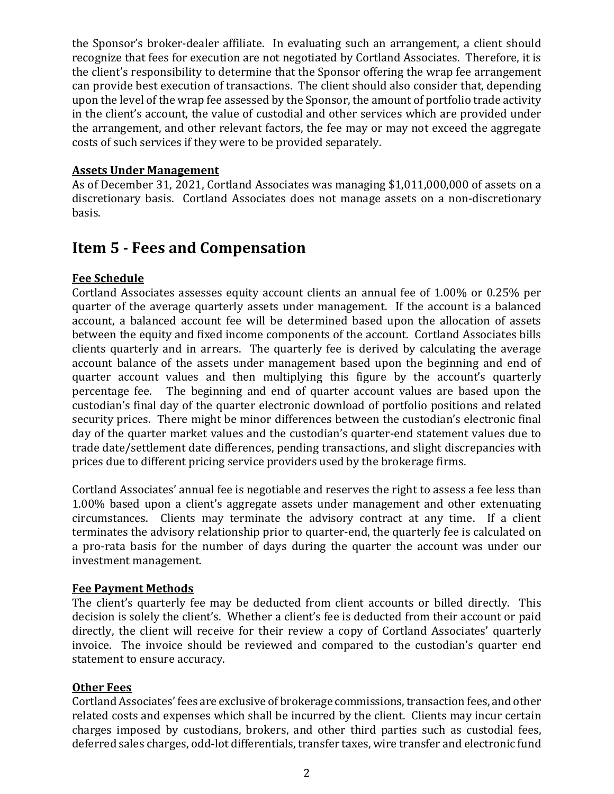the Sponsor's broker-dealer affiliate. In evaluating such an arrangement, a client should recognize that fees for execution are not negotiated by Cortland Associates. Therefore, it is the client's responsibility to determine that the Sponsor offering the wrap fee arrangement can provide best execution of transactions. The client should also consider that, depending upon the level of the wrap fee assessed by the Sponsor, the amount of portfolio trade activity in the client's account, the value of custodial and other services which are provided under the arrangement, and other relevant factors, the fee may or may not exceed the aggregate costs of such services if they were to be provided separately.

#### **Assets Under Management**

As of December 31, 2021, Cortland Associates was managing \$1,011,000,000 of assets on a discretionary basis. Cortland Associates does not manage assets on a non-discretionary basis.

# **Item 5 ‐ Fees and Compensation**

### **Fee Schedule**

Cortland Associates assesses equity account clients an annual fee of 1.00% or 0.25% per quarter of the average quarterly assets under management. If the account is a balanced account, a balanced account fee will be determined based upon the allocation of assets between the equity and fixed income components of the account. Cortland Associates bills clients quarterly and in arrears. The quarterly fee is derived by calculating the average account balance of the assets under management based upon the beginning and end of quarter account values and then multiplying this figure by the account's quarterly percentage fee. The beginning and end of quarter account values are based upon the custodian's final day of the quarter electronic download of portfolio positions and related security prices. There might be minor differences between the custodian's electronic final day of the quarter market values and the custodian's quarter-end statement values due to trade date/settlement date differences, pending transactions, and slight discrepancies with prices due to different pricing service providers used by the brokerage firms.

Cortland Associates' annual fee is negotiable and reserves the right to assess a fee less than 1.00% based upon a client's aggregate assets under management and other extenuating circumstances. Clients may terminate the advisory contract at any time. If a client terminates the advisory relationship prior to quarter-end, the quarterly fee is calculated on a pro-rata basis for the number of days during the quarter the account was under our investment management.

#### **Fee Payment Methods**

The client's quarterly fee may be deducted from client accounts or billed directly. This decision is solely the client's. Whether a client's fee is deducted from their account or paid directly, the client will receive for their review a copy of Cortland Associates' quarterly invoice. The invoice should be reviewed and compared to the custodian's quarter end statement to ensure accuracy.

#### **Other Fees**

Cortland Associates' fees are exclusive of brokerage commissions, transaction fees, and other related costs and expenses which shall be incurred by the client. Clients may incur certain charges imposed by custodians, brokers, and other third parties such as custodial fees, deferred sales charges, odd-lot differentials, transfer taxes, wire transfer and electronic fund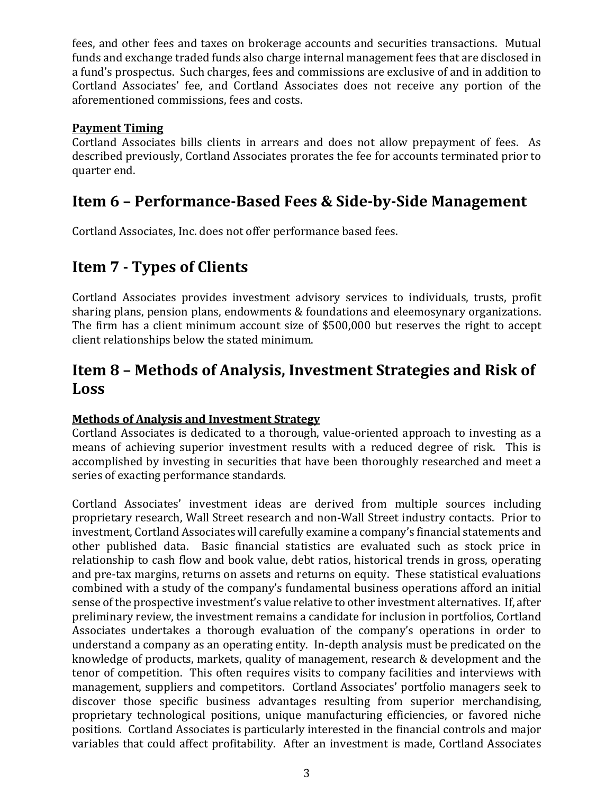fees, and other fees and taxes on brokerage accounts and securities transactions. Mutual funds and exchange traded funds also charge internal management fees that are disclosed in a fund's prospectus. Such charges, fees and commissions are exclusive of and in addition to Cortland Associates' fee, and Cortland Associates does not receive any portion of the aforementioned commissions, fees and costs.

#### **Payment Timing**

Cortland Associates bills clients in arrears and does not allow prepayment of fees. As described previously, Cortland Associates prorates the fee for accounts terminated prior to quarter end.

## **Item 6 – Performance‐Based Fees & Side‐by‐Side Management**

Cortland Associates, Inc. does not offer performance based fees.

# **Item 7 ‐ Types of Clients**

Cortland Associates provides investment advisory services to individuals, trusts, profit sharing plans, pension plans, endowments & foundations and eleemosynary organizations. The firm has a client minimum account size of \$500,000 but reserves the right to accept client relationships below the stated minimum.

# **Item 8 – Methods of Analysis, Investment Strategies and Risk of Loss**

### **Methods of Analysis and Investment Strategy**

Cortland Associates is dedicated to a thorough, value-oriented approach to investing as a means of achieving superior investment results with a reduced degree of risk. This is accomplished by investing in securities that have been thoroughly researched and meet a series of exacting performance standards.

Cortland Associates' investment ideas are derived from multiple sources including proprietary research, Wall Street research and non-Wall Street industry contacts. Prior to investment, Cortland Associates will carefully examine a company's financial statements and other published data. Basic financial statistics are evaluated such as stock price in relationship to cash flow and book value, debt ratios, historical trends in gross, operating and pre-tax margins, returns on assets and returns on equity. These statistical evaluations combined with a study of the company's fundamental business operations afford an initial sense of the prospective investment's value relative to other investment alternatives. If, after preliminary review, the investment remains a candidate for inclusion in portfolios, Cortland Associates undertakes a thorough evaluation of the company's operations in order to understand a company as an operating entity. In-depth analysis must be predicated on the knowledge of products, markets, quality of management, research & development and the tenor of competition. This often requires visits to company facilities and interviews with management, suppliers and competitors. Cortland Associates' portfolio managers seek to discover those specific business advantages resulting from superior merchandising, proprietary technological positions, unique manufacturing efficiencies, or favored niche positions. Cortland Associates is particularly interested in the financial controls and major variables that could affect profitability. After an investment is made, Cortland Associates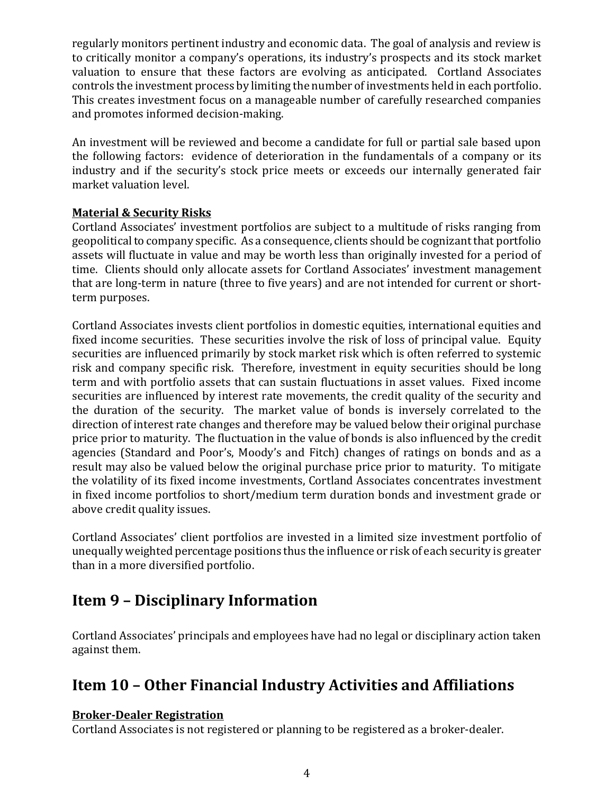regularly monitors pertinent industry and economic data. The goal of analysis and review is to critically monitor a company's operations, its industry's prospects and its stock market valuation to ensure that these factors are evolving as anticipated. Cortland Associates controls the investment process by limiting the number of investments held in each portfolio. This creates investment focus on a manageable number of carefully researched companies and promotes informed decision-making.

An investment will be reviewed and become a candidate for full or partial sale based upon the following factors: evidence of deterioration in the fundamentals of a company or its industry and if the security's stock price meets or exceeds our internally generated fair market valuation level.

### **Material & Security Risks**

Cortland Associates' investment portfolios are subject to a multitude of risks ranging from geopolitical to company specific. As a consequence, clients should be cognizant that portfolio assets will fluctuate in value and may be worth less than originally invested for a period of time. Clients should only allocate assets for Cortland Associates' investment management that are long-term in nature (three to five years) and are not intended for current or shortterm purposes.

Cortland Associates invests client portfolios in domestic equities, international equities and fixed income securities. These securities involve the risk of loss of principal value. Equity securities are influenced primarily by stock market risk which is often referred to systemic risk and company specific risk. Therefore, investment in equity securities should be long term and with portfolio assets that can sustain fluctuations in asset values. Fixed income securities are influenced by interest rate movements, the credit quality of the security and the duration of the security. The market value of bonds is inversely correlated to the direction of interest rate changes and therefore may be valued below their original purchase price prior to maturity. The fluctuation in the value of bonds is also influenced by the credit agencies (Standard and Poor's, Moody's and Fitch) changes of ratings on bonds and as a result may also be valued below the original purchase price prior to maturity. To mitigate the volatility of its fixed income investments, Cortland Associates concentrates investment in fixed income portfolios to short/medium term duration bonds and investment grade or above credit quality issues.

Cortland Associates' client portfolios are invested in a limited size investment portfolio of unequally weighted percentage positions thus the influence or risk of each security is greater than in a more diversified portfolio.

# **Item 9 – Disciplinary Information**

Cortland Associates' principals and employees have had no legal or disciplinary action taken against them.

# **Item 10 – Other Financial Industry Activities and Affiliations**

## **Broker‐Dealer Registration**

Cortland Associates is not registered or planning to be registered as a broker-dealer.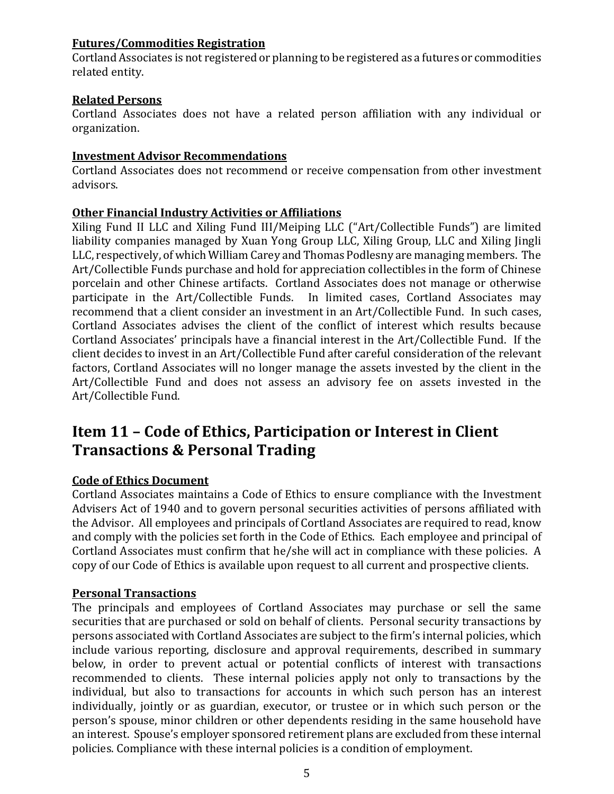### **Futures/Commodities Registration**

Cortland Associates is not registered or planning to be registered as a futures or commodities related entity.

#### **Related Persons**

Cortland Associates does not have a related person affiliation with any individual or organization.

### **Investment Advisor Recommendations**

Cortland Associates does not recommend or receive compensation from other investment advisors.

#### **Other Financial Industry Activities or Affiliations**

Xiling Fund II LLC and Xiling Fund III/Meiping LLC ("Art/Collectible Funds") are limited liability companies managed by Xuan Yong Group LLC, Xiling Group, LLC and Xiling Jingli LLC, respectively, of which William Carey and Thomas Podlesny are managing members. The Art/Collectible Funds purchase and hold for appreciation collectibles in the form of Chinese porcelain and other Chinese artifacts. Cortland Associates does not manage or otherwise participate in the Art/Collectible Funds. In limited cases, Cortland Associates may recommend that a client consider an investment in an Art/Collectible Fund. In such cases, Cortland Associates advises the client of the conflict of interest which results because Cortland Associates' principals have a financial interest in the Art/Collectible Fund. If the client decides to invest in an Art/Collectible Fund after careful consideration of the relevant factors, Cortland Associates will no longer manage the assets invested by the client in the Art/Collectible Fund and does not assess an advisory fee on assets invested in the Art/Collectible Fund.

# **Item 11 – Code of Ethics, Participation or Interest in Client Transactions & Personal Trading**

### **Code of Ethics Document**

Cortland Associates maintains a Code of Ethics to ensure compliance with the Investment Advisers Act of 1940 and to govern personal securities activities of persons affiliated with the Advisor. All employees and principals of Cortland Associates are required to read, know and comply with the policies set forth in the Code of Ethics. Each employee and principal of Cortland Associates must confirm that he/she will act in compliance with these policies. A copy of our Code of Ethics is available upon request to all current and prospective clients.

#### **Personal Transactions**

The principals and employees of Cortland Associates may purchase or sell the same securities that are purchased or sold on behalf of clients. Personal security transactions by persons associated with Cortland Associates are subject to the firm's internal policies, which include various reporting, disclosure and approval requirements, described in summary below, in order to prevent actual or potential conflicts of interest with transactions recommended to clients. These internal policies apply not only to transactions by the individual, but also to transactions for accounts in which such person has an interest individually, jointly or as guardian, executor, or trustee or in which such person or the person's spouse, minor children or other dependents residing in the same household have an interest. Spouse's employer sponsored retirement plans are excluded from these internal policies. Compliance with these internal policies is a condition of employment.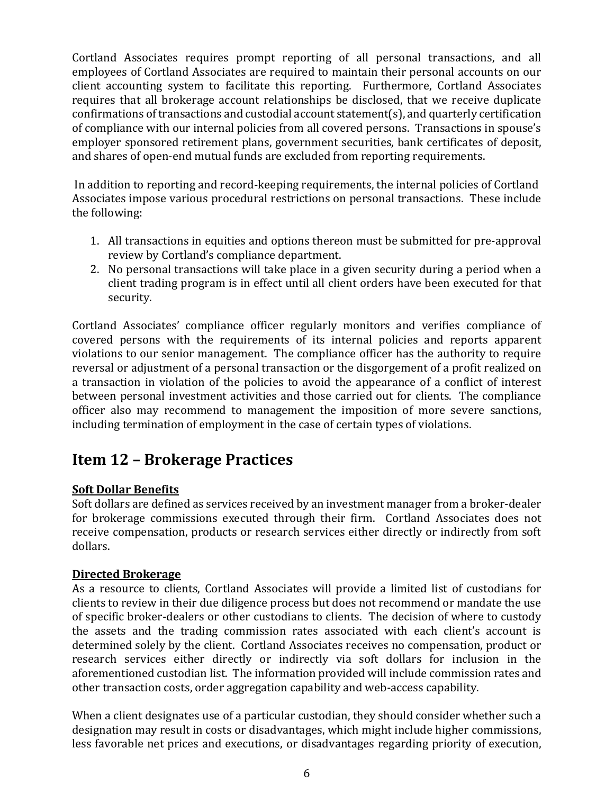Cortland Associates requires prompt reporting of all personal transactions, and all employees of Cortland Associates are required to maintain their personal accounts on our client accounting system to facilitate this reporting. Furthermore, Cortland Associates requires that all brokerage account relationships be disclosed, that we receive duplicate confirmations of transactions and custodial account statement(s), and quarterly certification of compliance with our internal policies from all covered persons. Transactions in spouse's employer sponsored retirement plans, government securities, bank certificates of deposit, and shares of open-end mutual funds are excluded from reporting requirements.

In addition to reporting and record-keeping requirements, the internal policies of Cortland Associates impose various procedural restrictions on personal transactions. These include the following:

- 1. All transactions in equities and options thereon must be submitted for pre-approval review by Cortland's compliance department.
- 2. No personal transactions will take place in a given security during a period when a client trading program is in effect until all client orders have been executed for that security.

Cortland Associates' compliance officer regularly monitors and verifies compliance of covered persons with the requirements of its internal policies and reports apparent violations to our senior management. The compliance officer has the authority to require reversal or adjustment of a personal transaction or the disgorgement of a profit realized on a transaction in violation of the policies to avoid the appearance of a conflict of interest between personal investment activities and those carried out for clients. The compliance officer also may recommend to management the imposition of more severe sanctions, including termination of employment in the case of certain types of violations.

# **Item 12 – Brokerage Practices**

## **Soft Dollar Benefits**

Soft dollars are defined as services received by an investment manager from a broker-dealer for brokerage commissions executed through their firm. Cortland Associates does not receive compensation, products or research services either directly or indirectly from soft dollars.

### **Directed Brokerage**

As a resource to clients, Cortland Associates will provide a limited list of custodians for clients to review in their due diligence process but does not recommend or mandate the use of specific broker-dealers or other custodians to clients. The decision of where to custody the assets and the trading commission rates associated with each client's account is determined solely by the client. Cortland Associates receives no compensation, product or research services either directly or indirectly via soft dollars for inclusion in the aforementioned custodian list. The information provided will include commission rates and other transaction costs, order aggregation capability and web-access capability.

When a client designates use of a particular custodian, they should consider whether such a designation may result in costs or disadvantages, which might include higher commissions, less favorable net prices and executions, or disadvantages regarding priority of execution,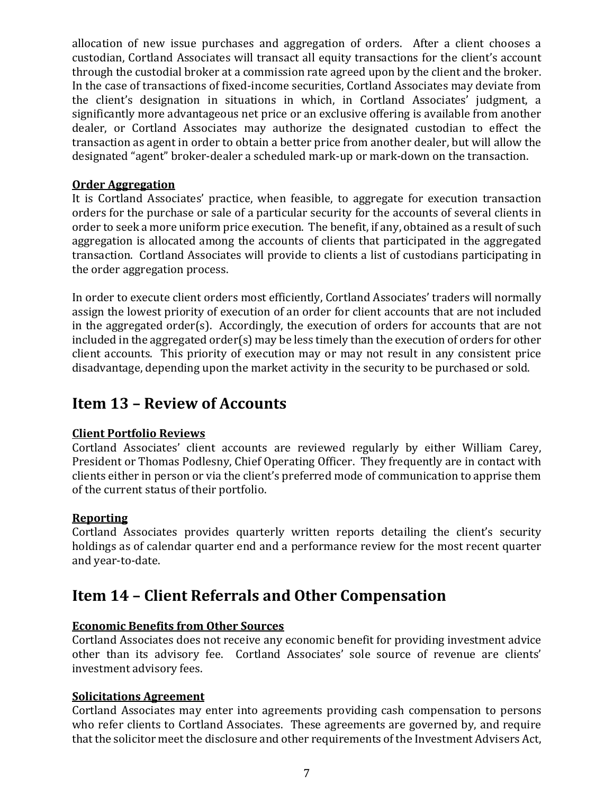allocation of new issue purchases and aggregation of orders. After a client chooses a custodian, Cortland Associates will transact all equity transactions for the client's account through the custodial broker at a commission rate agreed upon by the client and the broker. In the case of transactions of fixed-income securities, Cortland Associates may deviate from the client's designation in situations in which, in Cortland Associates' judgment, a significantly more advantageous net price or an exclusive offering is available from another dealer, or Cortland Associates may authorize the designated custodian to effect the transaction as agent in order to obtain a better price from another dealer, but will allow the designated "agent" broker-dealer a scheduled mark-up or mark-down on the transaction.

### **Order Aggregation**

It is Cortland Associates' practice, when feasible, to aggregate for execution transaction orders for the purchase or sale of a particular security for the accounts of several clients in order to seek a more uniform price execution. The benefit, if any, obtained as a result of such aggregation is allocated among the accounts of clients that participated in the aggregated transaction. Cortland Associates will provide to clients a list of custodians participating in the order aggregation process.

In order to execute client orders most efficiently, Cortland Associates' traders will normally assign the lowest priority of execution of an order for client accounts that are not included in the aggregated order(s). Accordingly, the execution of orders for accounts that are not included in the aggregated order(s) may be less timely than the execution of orders for other client accounts. This priority of execution may or may not result in any consistent price disadvantage, depending upon the market activity in the security to be purchased or sold.

# **Item 13 – Review of Accounts**

### **Client Portfolio Reviews**

Cortland Associates' client accounts are reviewed regularly by either William Carey, President or Thomas Podlesny, Chief Operating Officer. They frequently are in contact with clients either in person or via the client's preferred mode of communication to apprise them of the current status of their portfolio.

### **Reporting**

Cortland Associates provides quarterly written reports detailing the client's security holdings as of calendar quarter end and a performance review for the most recent quarter and year-to-date.

# **Item 14 – Client Referrals and Other Compensation**

### **Economic Benefits from Other Sources**

Cortland Associates does not receive any economic benefit for providing investment advice other than its advisory fee. Cortland Associates' sole source of revenue are clients' investment advisory fees.

#### **Solicitations Agreement**

Cortland Associates may enter into agreements providing cash compensation to persons who refer clients to Cortland Associates. These agreements are governed by, and require that the solicitor meet the disclosure and other requirements of the Investment Advisers Act,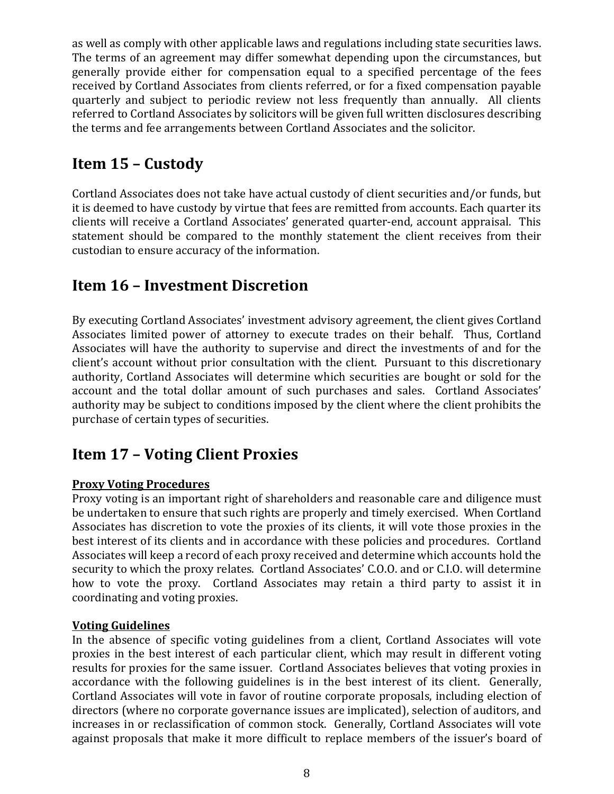as well as comply with other applicable laws and regulations including state securities laws. The terms of an agreement may differ somewhat depending upon the circumstances, but generally provide either for compensation equal to a specified percentage of the fees received by Cortland Associates from clients referred, or for a fixed compensation payable quarterly and subject to periodic review not less frequently than annually. All clients referred to Cortland Associates by solicitors will be given full written disclosures describing the terms and fee arrangements between Cortland Associates and the solicitor.

# **Item 15 – Custody**

Cortland Associates does not take have actual custody of client securities and/or funds, but it is deemed to have custody by virtue that fees are remitted from accounts. Each quarter its clients will receive a Cortland Associates' generated quarter-end, account appraisal. This statement should be compared to the monthly statement the client receives from their custodian to ensure accuracy of the information.

# **Item 16 – Investment Discretion**

By executing Cortland Associates' investment advisory agreement, the client gives Cortland Associates limited power of attorney to execute trades on their behalf. Thus, Cortland Associates will have the authority to supervise and direct the investments of and for the client's account without prior consultation with the client. Pursuant to this discretionary authority, Cortland Associates will determine which securities are bought or sold for the account and the total dollar amount of such purchases and sales. Cortland Associates' authority may be subject to conditions imposed by the client where the client prohibits the purchase of certain types of securities.

# **Item 17 – Voting Client Proxies**

### **Proxy Voting Procedures**

Proxy voting is an important right of shareholders and reasonable care and diligence must be undertaken to ensure that such rights are properly and timely exercised. When Cortland Associates has discretion to vote the proxies of its clients, it will vote those proxies in the best interest of its clients and in accordance with these policies and procedures. Cortland Associates will keep a record of each proxy received and determine which accounts hold the security to which the proxy relates. Cortland Associates' C.O.O. and or C.I.O. will determine how to vote the proxy. Cortland Associates may retain a third party to assist it in coordinating and voting proxies.

#### **Voting Guidelines**

In the absence of specific voting guidelines from a client, Cortland Associates will vote proxies in the best interest of each particular client, which may result in different voting results for proxies for the same issuer. Cortland Associates believes that voting proxies in accordance with the following guidelines is in the best interest of its client. Generally, Cortland Associates will vote in favor of routine corporate proposals, including election of directors (where no corporate governance issues are implicated), selection of auditors, and increases in or reclassification of common stock. Generally, Cortland Associates will vote against proposals that make it more difficult to replace members of the issuer's board of